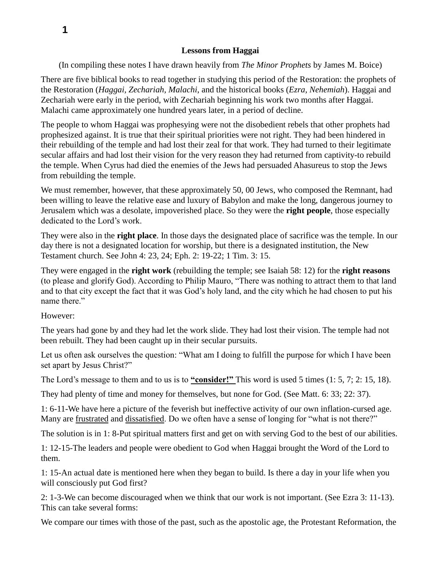## **Lessons from Haggai**

(In compiling these notes I have drawn heavily from *The Minor Prophets* by James M. Boice)

There are five biblical books to read together in studying this period of the Restoration: the prophets of the Restoration (*Haggai, Zechariah, Malachi*, and the historical books (*Ezra, Nehemiah*). Haggai and Zechariah were early in the period, with Zechariah beginning his work two months after Haggai. Malachi came approximately one hundred years later, in a period of decline.

The people to whom Haggai was prophesying were not the disobedient rebels that other prophets had prophesized against. It is true that their spiritual priorities were not right. They had been hindered in their rebuilding of the temple and had lost their zeal for that work. They had turned to their legitimate secular affairs and had lost their vision for the very reason they had returned from captivity-to rebuild the temple. When Cyrus had died the enemies of the Jews had persuaded Ahasureus to stop the Jews from rebuilding the temple.

We must remember, however, that these approximately 50, 00 Jews, who composed the Remnant, had been willing to leave the relative ease and luxury of Babylon and make the long, dangerous journey to Jerusalem which was a desolate, impoverished place. So they were the **right people**, those especially dedicated to the Lord's work.

They were also in the **right place**. In those days the designated place of sacrifice was the temple. In our day there is not a designated location for worship, but there is a designated institution, the New Testament church. See John 4: 23, 24; Eph. 2: 19-22; 1 Tim. 3: 15.

They were engaged in the **right work** (rebuilding the temple; see Isaiah 58: 12) for the **right reasons** (to please and glorify God). According to Philip Mauro, "There was nothing to attract them to that land and to that city except the fact that it was God's holy land, and the city which he had chosen to put his name there."

## However:

The years had gone by and they had let the work slide. They had lost their vision. The temple had not been rebuilt. They had been caught up in their secular pursuits.

Let us often ask ourselves the question: "What am I doing to fulfill the purpose for which I have been set apart by Jesus Christ?"

The Lord's message to them and to us is to **"consider!"** This word is used 5 times (1: 5, 7; 2: 15, 18).

They had plenty of time and money for themselves, but none for God. (See Matt. 6: 33; 22: 37).

1: 6-11-We have here a picture of the feverish but ineffective activity of our own inflation-cursed age. Many are frustrated and dissatisfied. Do we often have a sense of longing for "what is not there?"

The solution is in 1: 8-Put spiritual matters first and get on with serving God to the best of our abilities.

1: 12-15-The leaders and people were obedient to God when Haggai brought the Word of the Lord to them.

1: 15-An actual date is mentioned here when they began to build. Is there a day in your life when you will consciously put God first?

2: 1-3-We can become discouraged when we think that our work is not important. (See Ezra 3: 11-13). This can take several forms:

We compare our times with those of the past, such as the apostolic age, the Protestant Reformation, the